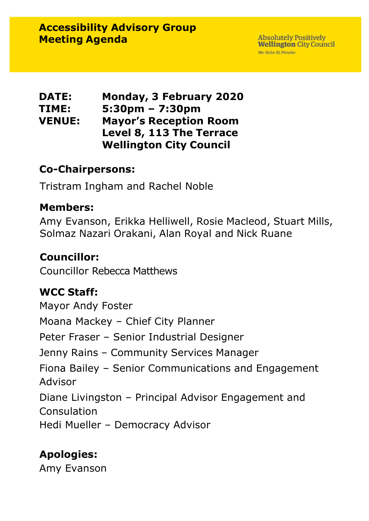| <b>DATE:</b>  | <b>Monday, 3 February 2020</b>    |
|---------------|-----------------------------------|
| TIME:         | $5:30 \text{pm} - 7:30 \text{pm}$ |
| <b>VENUE:</b> | <b>Mayor's Reception Room</b>     |
|               | Level 8, 113 The Terrace          |
|               | <b>Wellington City Council</b>    |

#### **Co-Chairpersons:**

Tristram Ingham and Rachel Noble

#### **Members:**

Amy Evanson, Erikka Helliwell, Rosie Macleod, Stuart Mills, Solmaz Nazari Orakani, Alan Royal and Nick Ruane

### **Councillor:**

Councillor Rebecca Matthews

## **WCC Staff:**

Mayor Andy Foster Moana Mackey – Chief City Planner Peter Fraser – Senior Industrial Designer Jenny Rains – Community Services Manager Fiona Bailey – Senior Communications and Engagement Advisor Diane Livingston – Principal Advisor Engagement and **Consulation** Hedi Mueller – Democracy Advisor

## **Apologies:**

Amy Evanson